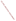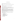## **OVERVIEW SECTION**

### **AGENCY:** ENVIRONMENTAL PROTECTION AGENCY (EPA)

**TITLE:** Study and Analysis of Strategies for the Technology Innovation in the Transportation Sector

**ACTION:** Request for Application (RFA) or Request for Initial Proposals (RFIP)

**RFA NO:** EPA-OAR-DOD-05-19

## **CATALOG OF FEDERAL DOMESTIC ASSISTANCE (CFDA) NO:** 66.034

**DATES:** The closing date and time for receipt of Applications is December 14, 2005, 5:00 p.m. EDT. All applications, however transmitted, must be received in the Program Office by the closing date and time to receive consideration.

**SUMMARY:** This notice announces the availability of funds and solicits applications from eligible institutions for study and analysis of innovative strategies for encouraging the development and adoption of new vehicle and fuel technologies for control of emissions including consideration of impact on criteria pollutants, toxic emissions and greenhouse gas emissions. Studies and analyses should consider barriers for technological innovation and opportunities for overcoming these barriers.

**FUNDING/AWARDS:** The total estimated funding for this competitive opportunity is not expected to exceed \$1 million. First year funding is estimated not to exceed \$500,000.

## **CONTENTS BY SECTION**

- I. Funding Opportunity Description
- II. Award Information
- III. Eligibility Information
- IV. Application and Submission Information
- V. Application Review Information
- VI. Award Administration Information
- VII. Agency Contacts
- VIII. Other Information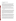### **Section I - Funding Opportunity Description.**

#### **A. Background**

EPA's Office of Transportation and Air Quality has been examining innovative technologies as emerging means of controlling emissions from the transportation sector. In evaluating such technologies for their potential impact on emissions, the required investment by industry, anticipated cost impact to consumers, impact on other vehicle attributes such a vehicle performance and other factors typically receive widespread interest. While vehicle technology has been a cornerstone of past emission control achievements, fuels are increasingly recognized as part of the vehicle operating system. Alternative fuels such as ethanol and bio-diesel are projected by many to represent a growing portion of the fuel pool and their use may have direct impacts on the lifecycle emission performance of the transportation system.

In anticipating future trends in emission control and their likely impacts, the reliability of the predictions would be improved through identifying the avenues for adoption of needs to innovative technology including the barriers to successful development and implementation of new vehicle technologies and alternative fuels and opportunities for overcoming these barriers.

### **B. Scope of Work**

EPA is seeking to fund a cooperative agreement with an eligible institution to develop innovative strategies which would result in the development and adoption of improved vehicle technologies and fuels within the United States. Such innovative strategies will consider the technical options currently available or anticipated to be available in the next 10 to 15 years, the industry and consumer cost impacts of these technologies compared to current vehicles and fuels, economic impacts, both micro and macro, to industry, consumers and society and potential policy implications. As such, EPA anticipates a multi-disciplinary approach would provide a most complete evaluation, drawing on the varied analytical disciplines including (but not limited to) economics, engineering, public policy, natural resources and modeling as well as legal considerations.

This cooperative agreement also seeks separate and parallel identification and evaluation of avenues for accelerating the transfer of low emission vehicle and fuel technology to developing nations. The recently announced agreement between the United States and several Asian nations highlighted the benefits of technology transfer to help address the growing emissions concerns in developing nations including China and India. With such technology transfer as a goal, identification of barriers to such technology transfer and means for overcoming those barriers.

A successful proposal will identify unique constituencies and approaches/channels for working with stakeholders, in particular demonstrating an understanding of the industries involved. The proposal will demonstrate an understanding of current regulatory and incentive programs currently or potentially applicable to the adoption of new vehicle technologies or alternative fuels. The proposal will identify barriers to the widespread adoption of reduction measures for emissions from transportation sources and their energy use including energy efficient and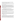renewable energy technologies/best practices, an approach for further understanding these barriers and means for overcoming them and a proposed methodology fore developing and delineating strategies for overcoming the barriers identified.

It is anticipated that the successful applicant may wish to convene meetings with outside experts from academia, industry, government and public interest groups for the purpose of soliciting information and recommendations.

Finally, it is anticipated that this cooperative agreement will stimulate interest and span further investigation into the science and policy of environmental protection. By providing investigation, analysis and development opportunities for talented staff and, and in the case of academic institutions, faculty and students, this cooperative agreement should not only advance the knowledge of the impact of transportation on environment, identify new opportunities for lessening this impact and, in general, enhance the opportunities for reducing air pollution from the transportation sector, but also identify important areas for further investigation not pursued within this cooperative agreement.

## **C. EPA Strategic Plan Linkage and Anticipated Outcomes/Outputs**

1**. Linkage to EPA Strategic Plan**. This project supports progress towards EPA Strategic Plan Goal 1 (Clean Air and Global Climate Change), Objective 1.1 (Healthier Outdoor Air), Sub-Objective 1.1.1 (More People Breathing Cleaner Air). This project supports EPA efforts to promote clean air through improvements in vehicles and fuels used in mobile sources.

2. **Outcomes**. The outcome of this project will be that advanced vehicle technologies and low polluting fuels will come into widespread use more quickly than under a business as usual case, thereby enhancing emission performance.

3. **Outputs.** The output of this project will be a detailed plan for assuring early and aggressive deployment of low emission vehicle technology and low emission fuels. The plan will have two separate parts, one focusing on deployment in the United States and another for the transfer of US vehicle and fuel technology to other nations which will particularly benefit from that technology transfer.

## **D. Supplementary Information.**

The statutory authority for this action is Clean Air Act, Section 103(b)(3) which authorizes the award of grants for research, investigations, experiments, demonstrations, surveys, and studies related to the causes, effect, extent, prevention and control of air pollution. In this case, the results of these studies will enhance the understanding of barriers to the development and implementation of improved vehicle and fuel technologies and provide solutions for overcoming these barriers. Such actions will serve to reduce the impact of transportation on air pollution.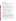## **Section II - Award Information.**

## **A. What is the amount of funding available?**

The total estimated funding under this announcement is approximately \$1 million. Project will be funded in one year increments of approximately \$350,000 over a three year period. Maximum annual funding is \$500,000.

## **B. How many agreements will EPA award in this competition?**

EPA anticipates awarding one cooperative agreement from this announcement.

Cooperative agreements permit substantial involvement between the EPA Project Officer and the selected applicants in the performance of the work supported. Although EPA will negotiate precise terms and conditions relating to substantial involvement as part of the award process, the anticipated substantial Federal involvement for this project will be:

- 1. close monitoring of the successful applicant's performance to verify the results proposed by the applicant;
- 2. collaboration during the performance of the scope of work;
- 3. in accordance with 40 CFR 31.36(g), review of proposed procurements;
- 4. approving qualifications of key personnel (EPA will not select employees or contractors employed by the award recipient;
- 5. review and comment on reports prepared under the cooperative agreement;

# **C. What is the project period for awards resulting from this solicitation?**

The estimated project period for awards resulting from this solicitation is February 2006 through January 2009. All projects must be completed within the negotiated project performance period of 36 months.

# **D. Can funding be used to acquire services or fund partnerships?**

Funding may be used to acquire services or fund partnerships, provided the recipient follows procurement and subaward or subgrant procedures contained in 40 CFR Parts 30 or 31, as applicable. Successful applicants must compete contracts for services and products and conduct cost and price analyses to the extent required by these regulations. The regulations also contain limitations on consultant compensation. Applicants are not required to identify contracts or consultants in their proposal. Moreover, the fact that a successful applicant has named a specific contractor or consultant in the proposal EPA approves does not relieve it of its obligations to comply with competitive procurement requirements.

Subgrants or subawards may be used to fund partnerships with non-profit organizations and governmental entities. Successful applicants cannot use subgrants or subawards to avoid requirements in EPA grant regulations for competitive procurement by using these instruments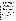to acquire commercial services or products to carry out its cooperative agreement. For profit organizations are not eligible subgrant recipients under this announcement. The nature of the transaction between the recipient and the subgrantee must be consistent with the standards for distinguishing between vendor transactions and subrecipient assistance under Subpart B Section .210 of OMB Circular A-133, and the definitions of "subaward" at 40 CFR 30.2(ff) or "subgrant" at 40 CFR 31.3, as applicable. EPA will not be a party to these transactions.

## **E. Can projects be partially funded?**

EPA reserves the right to partially fund proposals/applications by funding discrete activities, portions, or phases of the proposed project. If EPA decides to partially fund the proposal/application, it will do so in a manner that does not prejudice any applicants or affect the basis upon which the proposal/application, or portion thereof, was evaluated and selected for award, and that maintains the integrity of the competition and the evaluation/selection process.

# **Section III - Eligibility Information.**

## **A. Eligible Entities.**

Proposals will be accepted from States, territories, Indian Tribes, and possessions of the U.S., including the District of Columbia; international organizations; public and private universities and colleges; hospitals; laboratories; and other public or private nonprofit institutions.

Non-profit organization, as defined by OMB Circular A-122, means any corporation, trust, association, cooperative, or other organization which: (1) is operated primarily for scientific, educational, service, charitable, or similar purposes in the public interest; (2) is not organized primarily for profit; and (3) uses its net proceeds to maintain, improve, and/or expand its operations. For this purpose, the term "non-profit organization" excludes (i) colleges and universities; (ii) hospitals; (iii) state, local and federally-recognized Indian tribal governments; and (iv) those non-profit organizations which are excluded from coverage of this Circular in accordance with paragraph 5 of the Circular.

Non-profit organizations described in Section 501(c) (4) of the Internal Revenue Code that engage in lobbying activities as defined in Section 3 of the Lobbying Disclosure Act of 1995 are not eligible to apply.

Applications that do not substantially comply with the application submission instructions and requirements set forth in Section IV of this announcement will be rejected. In addition, where a page limit is expressed in Section IV with respect to parts of the application, pages in excess of the page limitation will not be reviewed. Applications and initial proposals must be received by the EPA on or before the solicitation closing date published in Section IV of this announcement. Applications received after the published closing date will be returned to the sender without further consideration. Also, applications exceeding the funding limits described herein will be returned without review.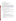## **B. Are matching funds required?**

No, cost-sharing or matching is not required as a condition of eligibility.

## **Section IV - Application and Submission Information.**

## **A. How to Obtain Application Package**

Applicants may apply by sending a hardcopy submission to EPA or by applying electronically thru grants.gov as explained below in section D. Applicants must submit the information required below with their application package. Applicants may download individual grant application forms, or electronically request a paper application package and an accompanying computer CD of information related to applicants/grant recipients roles and responsibilities from EPA's Grants and Debarment Web site at: (http://www.epa.gov/ogd/grants/how to apply.htm). Note that only the applicant selected for award will be asked to submit a full application package.

## **B. Content and Form of Application Submission.**

All submissions must contain a completed SF-424 Application for Federal Assistance, and a narrative proposal. The narrative proposal should conform to the outline specified below and include the following information:

- 1. The narrative proposal should conform to the following outline:
- a. Cover Letter: Describe your organization's qualifications for the project; must be signed by an official with the authority to commit your organization to the project; and written on your organization's official letterhead.
- b. Summary Information Page:
	- 1. Project Title.
	- 2. Applicant Information. Include applicant (organization) name, address, contact person, phone number, fax and e-mail address.
	- 3. Funding Requested. Specify the amount you are requesting from EPA.
- c. Project Description: The project description must provide a concise overview of how the applicant will implement and conduct its operation and include a Project Work Plan (including a description of all tasks, dates of completion, products and deliverables, and proposed budget).

 The narrative proposal must discuss how the proposal addresses each of the selection criteria in Section V and include: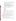- 1. A detailed project summary, describing specific actions and methods to be undertaken and the responsible institutions, including estimated time line for each task;
- 2. The associated work products to be developed (e.g. partnership agreements, if any);
- 3. An explanation of project benefits to the public;
- 4. An explanation of how project outcomes (e.g., fuel economy and emissions benefits) will be designed for reinvestment;
- 5. A detailed explanation of how project success will be evaluated; *(Refer to Section V(A), Evaluation Criteria, "Performance Measurement.")*
- 6. A description of the roles of the applicant and partners, if any; and
- 7. Biographical information on key personnel identified.
- d. Detailed Itemized Budget: The proposal must include a detailed budget which clearly explains how funds will be used for the following categories:
	- 1. Personnel
	- 2. Fringe Benefits
	- 3. Contractual Costs
	- 4. Travel
	- 5. Equipment
	- 6. Supplies
	- 7. Other (including intern stipends)
	- 8. Total Indirect Costs (must include documentation of accepted indirect rate)
	- 9. Total Cost

If not self-evident, entries under each category must be explained in the budget itself or in the project description. Costs proposed in the budget should be linked directly to the proposal.

e. Key Personnel: The applicant should submit an appendix with the resumes of up to three (3) key personnel who will be significantly involved in the project.

Applicants are strongly advised to avoid submission of non-essential materials unrelated to the proposal's requirements. All application materials must be completed in English.

In evaluating applicants under the programmatic capability criteria in V, EPA will consider information provided by the applicant and may consider information from others sources including Agency files.

#### **C. Submission Dates and Times/Other Information**

1. The deadline for submission of all completed application packages is December 14, 2005, 5:00 p.m. EDT. Applications received after the deadline will not be considered for funding.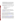- 2. **Confidential Business Information.** In accordance with 40 CFR 2.203, applicants may claim all or a portion of their application/proposal as confidential business information. EPA will evaluate confidentiality claims in accordance with 40 CFR Part 2. Applicants must clearly mark applications/proposals or portions of applications/proposals they claim as confidential. If no claim of confidentiality is made, EPA is not required to make the inquiry to the applicant otherwise required by 40 CFR 2.204(c)(2) prior to disclosure.
- 3. Because of the unique situation involving U.S. mail screening. EPA highly recommends that applicants use an express mail option to submit their applications. Please provide original proposal and four (4) copies – no binders or spiral binding – plus one signed and completed application should be addressed to:

Express Delivery Address (FedEx, UPS, DHL, etc.) or U.S. Postal Service USEPA National Vehicle and Fuel Emissions Laboratory Attention: Robert Larson Transportation and Climate Division 2000 Traverwood Drive Ann Arbor, MI 48105

4. All applicants are required to provide a Dun and Bradstreet (D&B) Data Universal Numbering System (DUNS) number when applying for a Federal grant or cooperative agreement. Applicants can receive a DUNS number, at no cost, by calling the dedicated tollfree DUNS Number request line at 1-866-705-5711, or by visiting the D&B Web site at: (http://www/dnb.com).

# **D. Instructions for Electronic Filing Using grants.gov**

**1.** The electronic submission of your application must be made by an official representative of your institution who is registered with Grants.gov and is authorized to sign applications for Federal assistance. For more information, go to http://www.grants.gov and click on "Get Started," and then "Authorized Organization Representative (AOR)." *Note that the registration process may take a week or longer to complete.* If your organization is not currently registered with Grants.gov, please encourage your office to designate an AOR and ask that individual to begin the registration process as soon as possible.

To begin the application process for this grant program, go to http://www.grants.gov and click on "Apply for Grants" tab at the top of the page. Then click on "Apply Step 1: Download a Grant Application Package and Application Instructions" to download the PureEdge viewer and obtain the application package (https://apply.grants.gov/forms\_apps\_idx.html). To download the PureEdge viewer click on the "PureEdge Viewer" link. Once you have downloaded the viewer, you may retrieve the application package by entering the Funding Opportunity Number, EPA-OAR-DOD-05-19, in the field next to "Funding Opportunity Number," or the CFDA number for the opportunity. You may also be able to access the application package by clicking on the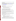button at the bottom right side of the Find synopsis located on Fedgrants.gov that says **Apply for Grant Electronically**.

**2. Application Submission Deadline:** Your organization's AOR must submit your complete application electronically to EPA through Grants.gov (http://www.grants.gov) no later than **5:00 P.M. EST on December 14, 2005.** Applicants can locate this announcement through Grants.go**v (http://www.grants.gov)** 

If applying thru grants.gov, please submit *all* of the application materials described below.

# **3. Application Materials**

## **The following forms and documents are required under this announcement**

- I. Application for Federal Assistance (SF-424)
- II. Narrative Proposal (as described in Section IV.B. above)

This application package must include all of the following materials:

## **I. Standard Form (SF) 424, Application for Federal Assistance**

Complete the form. There are no attachments. Please be sure to include organization fax number and email address in Block 5 of the Standard Form SF 424.

Please note that the organizational Dun and Bradstreet (D&B) Data Universal Number System (DUNS) number must be included on the SF-424. Organizations may obtain DUNS number at no cost by calling the toll-free DUNS number request line at l-866-705-5711.

## **II. Narrative Proposal. The narrative proposal must conform to the following outline as described in Section IV.B above.**

a. **Cover Letter.** Describe your organization's qualifications for the project; must be signed by an official with the authority to commit your organization to the project; and written on your organization's official letterhead.

## b. **Summary Information Page. Must include the following:**

- 1. Project Title.
- 2. Applicant Information. Include applicant (organization) name, address, contact person, phone number, fax and e-mail address.
- 3. Funding Requested. Specify the amount you are requesting from EPA.

c. **Project Description.** The project description must provide a concise overview of how the applicant will implement and conduct its operation and include a Project Work Plan (including a description of all tasks, dates of completion, products and deliverables, and proposed budget).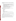d. **Selection Criteria.** The narrative proposal must also discuss how the proposal addresses each of the selection criteria specified in Section V. In addition, the following elements must also be addressed:

- 1. A detailed project summary, describing specific actions and methods to be undertaken and the responsible institutions, including estimated time line for each task;
- 2. The associated work products to be developed (e.g. partnership agreements, if any);
- 3. An explanation of project benefits to the public.
- 4. An explanation of how project outcomes (e.g., fuel economy and emissions benefits) will be designed for reinvestment;
- 5. A detailed explanation of how project success will be evaluated; (Refer to Section V(A), Evaluation Criteria, 'Performance Measurement.")
- 6. A description of the roles of the applicant and partners, if any; and
- 7. Biographical information on key personnel identified.

e. **Detailed Itemized Budget.** The proposal must include a detailed budget which clearly explains how funds will be used for the following categories:

- 1. Personnel
- 2. Fringe Benefits
- 3. Contractual Costs
- 4. Travel
- 5. Equipment
- 6. Supplies
- 7. Other (including intern stipends)
- 8. Total Indirect Costs (must include documentation of accepted indirect rates)
- 9. Total Cost

If not self-evident, entries under each category must be explained in the budget itself or in the project description. Costs proposed in the budget should be linked directly to the proposal.

f**. Key Personnel**.The applicant should submit an appendix with the resumes of up to three (3) key personnel who will be significantly involved in the project.

 Applicants are strongly advised to avoid submission of non-essential materials unrelated to the proposal requirements. All application materials must be completed in English.

In evaluating applicants under the programmatic capability criteria in V, EPA will consider information provided by the applicant and may consider information from other sources including Agency files.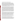# **4. Application Preparation and Submission Instructions**

**Document I** listed under Application Materials above should appear in the "Mandatory" Documents" box on the Grants.gov Grant Application Package page. Click on the appropriate form and then click "Open Form" below the box. The fields that must be completed will be highlighted in yellow. Optional fields and completed fields will be displayed in white. If you enter an invalid response or incomplete information in a field, you will receive an error message. When you have finished filling out each form, click "Save." When you return to the electronic Grant Application Package page, click on the form you just completed, and then click on the box that says, "Move Form to Submission List." This action will move the document over to the box that says, "Mandatory Completed Documents for Submission."

For II, you will need to attach electronic files. Prepare your narrative proposal using the format outlined above in section 2 and save the document to your computer as an MS Word, PDF or WordPerfect file. When you are ready to attach your proposal to the application package, click on "Project Narrative Attachment Form," and open the form. Click "Add Mandatory Project Narrative File," and then attach your proposal (previously saved to your computer) using the browse window that appears. You may then click "View Mandatory Project Narrative File" to view it. Enter a brief descriptive title of your project in the space beside "Mandatory Project Narrative File Filename;" the filename should be no more than 40 characters long. If there other attachments that you would like to submit to accompany your proposal, you may click "Add Optional Project Narrative File" and proceed as before. When you have finished attaching the necessary documents, click "Close Form." When you return to the "Grant Application Package" page, select the "Project Narrative Attachment Form" and click "Move Form to Submission List." The form should now appear in the box that says, "Mandatory Completed Documents for Submission."

Once you have finished filling out all of the forms/attachments and they appear in one of the "Completed Documents for Submission" boxes, click the "Save" button that appears at the top of the Web page. It is suggested that you save the document a second time, using a different name, since this will make it easier to submit an amended package later if necessary. Please use the following format when saving your file: "Applicant Name –  $FY06 -$  Assoc Prog Supp – 1<sup>st</sup> Submission" or "Applicant Name – FY 06 Assoc Prog Supp – Back-up Submission." If it becomes necessary to submit an amended package at a later date, then the name of the  $2<sup>nd</sup>$ submission should be changed to "Applicant Name – FY06 Assoc Prog Supp –  $2<sup>nd</sup>$  Submission."

Once your application package has been completed and saved, send it to your AOR for submission to U.S. EPA through Grants.gov. Please advise your AOR to close all other software programs before attempting to submit the application package through Grants.gov.

In the "Application Filing Name" box, your AOR should enter your organization's name (abbreviate where possible), the fiscal year (e.g., FY06), and the grant category (e.g., Assoc Prog Supp). The filing name should not exceed 40 characters. From the "Grant Application Package" page, your AOR may submit the application package by clicking the "Submit" button that appears at the top of the page. The AOR will then be asked to verify the agency and funding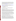opportunity number for which the application package is being submitted. If problems are encountered during the submission process, the AOR should reboot his/her computer before trying to submit the application package again. [It may be necessary to turn off the computer (not just restart it) before attempting to submit the package again.] If the AOR continues to experience submission problems, he/she may contact Grants.gov for assistance by phone at 1- 800-518-4726 or email at support@grants.gov.

If you have not received a confirmation of receipt from EPA (*not from* support@grant.gov) within 30 days of the application deadline, please contact Robert Larson, at larson.robert@epa.gov Failure to do so may result in your application not being reviewed.

## **Section V - Application Review Information.**

## **A. Evaluation Criteria.**

Each eligible application will be evaluated according to the criteria set forth below. Each application will be rated under a points system, with a total of 100 points possible.

# **B. Evaluation Factors (Total - 100 points)**

**Project description**. Extent to which the proposal describes a logical investigative path toward identifying and evaluating innovative strategies for the adoption of cost effective vehicle and fuel technologies within the United States; proposal identifies the types of barriers that will be investigated, how these barriers will be ranked for critical impact, and the process for identifying and evaluating options to overcoming these barriers; proposal effectively describes how key stakeholder interests will be evaluated and reflected in any deliverables. (30 points)

Extent to which the proposal describes a logical investigative path toward identifying and evaluating innovative strategies for the transfer of cost effective vehicle and fuel technologies to developing countries; proposal identifies types of barriers that will be investigated, how these barriers will be ranked for critical impact, and the process for identifying and evaluating options to overcoming these barriers; proposal effectively describes how key stakeholders interests will be evaluated and reflected in any deliverables. (10 points)

**EPA Strategic Plan Linkage and Anticipated outcomes/Outputs:** Effectiveness of applicant's plan for tracking and measuring progress toward achieving expected outputs and outcomes identified in Section 1 of this announcement. (10 points)

**Programmatic Capability:** Under this factor, EPA will evaluate applicants based on the applicants: (i) past performance in successfully completing federally and/or non-federally funded projects similar in size, scope, and relevance to the proposed project, (ii) history of meeting reporting requirements on prior or current assistance agreements with federal and/or non-federal organizations and submitting acceptable final technical reports, (iii) organizational experience and plan for timely and successfully achieving the objectives of the project, (iv) staff expertise/qualifications, staff knowledge, and resources or the ability to obtain them, to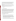successfully achieve the goals of the project and (v) established record of involving staff and, in the case of academic institutions, faculty and students in a collaborative study project. (25 points). Note: Applicants who have no past performance or reporting history (items i and ii above) will receive a neutral score for those elements of programmatic capability.

**Resources**. Extent to which the applicant's proposed budget is clearly stated, detailed, and appropriate to achieve the project's objectives and demonstrates a cost effective utilization of resources. (10 points)

**Past experience**. Proposal demonstrates the applicant's organizational experience in assessing industry impacts on changes in technology and the ability to develop innovative solutions to complex issues involving multiple stakeholders and perspectives. (15 points)

## **C. Other Factors.**

None.

# **D. Review and Selection Process.**

Each application will be evaluated by an EPA staff team chosen for their experience with a full range of transportation air quality matters. The Evaluation Team will base its evaluations solely on the selection criteria disclosed in this notice (See Section V(A), Evaluation Criteria). Once the Evaluation Team has completed evaluations, the Team will forward its recommendations to the Agency Approving Official for final decision. Once final decisions have been made, a funding recommendation will be developed and forwarded to the EPA Award Official(s).

The Office of Transportation and Air Quality expects to complete the Evaluation/Selection process and make recommendations to EPA's grants office January, 2006. All applicants will be notified within 15 days of final selections, regarding their application's status.

## **Section VI - Award Administration Information.**

## **A. Award Notices.**

Following final selections, all applicants will be notified regarding their application's status.

- 1. EPA anticipates notification to successful applicant(s) will be made via telephone, electronic or postal mail by January, 2006. This notification, which advises that the applicant's proposal has been selected and is being recommended for award, is not an authorization to begin performance. The award notice signed by the EPA grants officer is the authorizing document and will be provided through postal mail. At a minimum, this process can take up to 90 days from the date of selection.
- 2. EPA anticipates notification to unsuccessful applicant(s) will be made via electronic or postal mail within 15 days after final selection of successful applicants. In either event,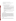the notification will be sent to the signer of the application.

- 3. EPA will notify applicants ho are not eligible within 15 days of EPA's decision on application eligibility.
- 4. EPA reserves the right to make no awards under this announcement

## **B. Administrative and National Policy Requirements.**

.

- 1. A listing and description of general EPA Regulations applicable to the award of assistance agreements may be viewed at: http://www.epa.gov/ogd/AppKit/applicable\_epa\_regulations\_and\_description.htm
- 2. Executive Order 12372, Intergovernmental Review of Federal Programs may be applicable to awards, resulting from this announcement. Applicants selected for funding may be required to provide a copy of their proposal to their State Point of Contact (SPOC) for review, pursuant to Executive Order 12372, Intergovernmental Review of Federal Programs. This review is not required with the Initial Proposal and not all states require such a review.
- 3. Grants and agreements with institutions of higher education are subject to 40 CFR Parts 30 and 40 and OMB Circular A-122 for non-profits and A-21 for institutions of higher learning.
- 4. Programmatic Terms and conditions will be negotiated with the selected recipient.

# **C. Reporting Requirement.**

The recipient agrees to submit quarterly progress reports to the EPA Project Officer within thirty days after each reporting period. These reports shall cover work status, work progress, difficulties encountered, a statement of activity anticipated during the subsequent reporting period. A discussion of expenditures along with a comparison of the percentage of the project completed to the project schedule and an explanation of significant discrepancies shall be included in the report. The report shall also include any changes of key personnel concerned with the project. The recipient also agrees to submit a detailed final report. The final report should include: a summary of the project, specifications of technologies and fuel used, detailed description of the demonstration fleet, summary of emissions reductions achieved, cost analyses, problems, successes, and lessons learned.

# **D. Disputes.**

Assistance agreement competition-related disputes will be resolved in accordance with the dispute resolution procedures published in 70 FR (Federal Register) 3629, 3630 (January 26,